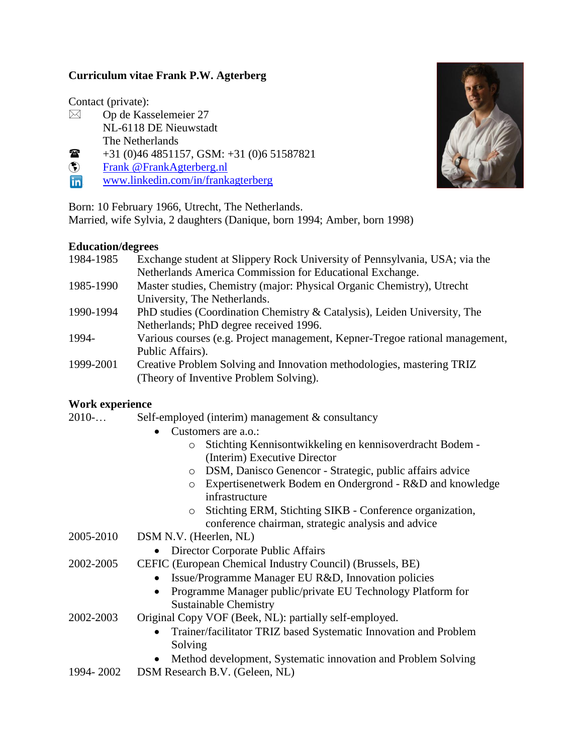# **Curriculum vitae Frank P.W. Agterberg**

Contact (private):

- $\boxtimes$  Op de Kasselemeier 27 NL-6118 DE Nieuwstadt The Netherlands
- $\bullet$  +31 (0)46 4851157, GSM: +31 (0)6 51587821
- **Example 3 Frank @ FrankAgterberg.nl**
- in <www.linkedin.com/in/frankagterberg>

Born: 10 February 1966, Utrecht, The Netherlands.

Married, wife Sylvia, 2 daughters (Danique, born 1994; Amber, born 1998)

### **Education/degrees**

| 1984-1985 | Exchange student at Slippery Rock University of Pennsylvania, USA; via the   |  |
|-----------|------------------------------------------------------------------------------|--|
|           | Netherlands America Commission for Educational Exchange.                     |  |
| 1985-1990 | Master studies, Chemistry (major: Physical Organic Chemistry), Utrecht       |  |
|           | University, The Netherlands.                                                 |  |
| 1990-1994 | PhD studies (Coordination Chemistry & Catalysis), Leiden University, The     |  |
|           | Netherlands; PhD degree received 1996.                                       |  |
| 1994-     | Various courses (e.g. Project management, Kepner-Tregoe rational management, |  |
|           | Public Affairs).                                                             |  |
| 1999-2001 | Creative Problem Solving and Innovation methodologies, mastering TRIZ        |  |
|           | (Theory of Inventive Problem Solving).                                       |  |

## **Work experience**

- 2010-… Self-employed (interim) management & consultancy
	- Customers are a.o.:
		- o Stichting Kennisontwikkeling en kennisoverdracht Bodem (Interim) Executive Director
		- o DSM, Danisco Genencor Strategic, public affairs advice
		- o Expertisenetwerk Bodem en Ondergrond R&D and knowledge infrastructure
		- o Stichting ERM, Stichting SIKB Conference organization, conference chairman, strategic analysis and advice
- 2005-2010 DSM N.V. (Heerlen, NL)
	- Director Corporate Public Affairs
- 2002-2005 CEFIC (European Chemical Industry Council) (Brussels, BE)
	- Issue/Programme Manager EU R&D, Innovation policies
	- Programme Manager public/private EU Technology Platform for Sustainable Chemistry
- 2002-2003 Original Copy VOF (Beek, NL): partially self-employed.
	- Trainer/facilitator TRIZ based Systematic Innovation and Problem Solving
	- Method development, Systematic innovation and Problem Solving
- 1994- 2002 DSM Research B.V. (Geleen, NL)